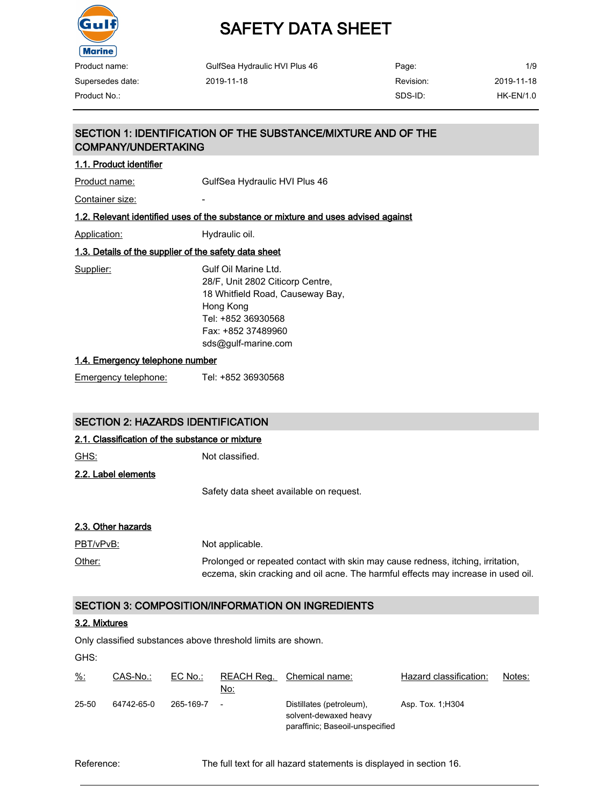

# SAFETY DATA SHEET

| Product name:    | GulfSea Hydraulic HVI Plus 46 | Page:     | 1/9         |
|------------------|-------------------------------|-----------|-------------|
| Supersedes date: | 2019-11-18                    | Revision: | 2019-11-18  |
| Product No.:     |                               | SDS-ID:   | $HK-EN/1.0$ |

### SECTION 1: IDENTIFICATION OF THE SUBSTANCE/MIXTURE AND OF THE COMPANY/UNDERTAKING

#### 1.1. Product identifier

Product name: GulfSea Hydraulic HVI Plus 46

Container size:

#### 1.2. Relevant identified uses of the substance or mixture and uses advised against

Application: Hydraulic oil.

### 1.3. Details of the supplier of the safety data sheet

Supplier: Gulf Oil Marine Ltd. 28/F, Unit 2802 Citicorp Centre, 18 Whitfield Road, Causeway Bay, Hong Kong Tel: +852 36930568 Fax: +852 37489960 sds@gulf-marine.com

#### 1.4. Emergency telephone number

Emergency telephone: Tel: +852 36930568

#### SECTION 2: HAZARDS IDENTIFICATION

### 2.1. Classification of the substance or mixture

GHS: Not classified. 2.2. Label elements Safety data sheet available on request.

#### 2.3. Other hazards

PBT/vPvB: Not applicable. Other: Prolonged or repeated contact with skin may cause redness, itching, irritation, eczema, skin cracking and oil acne. The harmful effects may increase in used oil.

### SECTION 3: COMPOSITION/INFORMATION ON INGREDIENTS

#### 3.2. Mixtures

Only classified substances above threshold limits are shown.

GHS:

| $\frac{9}{6}$ : | CAS-No.:   | $EC$ No.: | No:    | REACH Req. Chemical name:                                                            | Hazard classification: | Notes: |
|-----------------|------------|-----------|--------|--------------------------------------------------------------------------------------|------------------------|--------|
| 25-50           | 64742-65-0 | 265-169-7 | $\sim$ | Distillates (petroleum),<br>solvent-dewaxed heavy<br>paraffinic; Baseoil-unspecified | Asp. Tox. 1, H304      |        |

Reference: The full text for all hazard statements is displayed in section 16.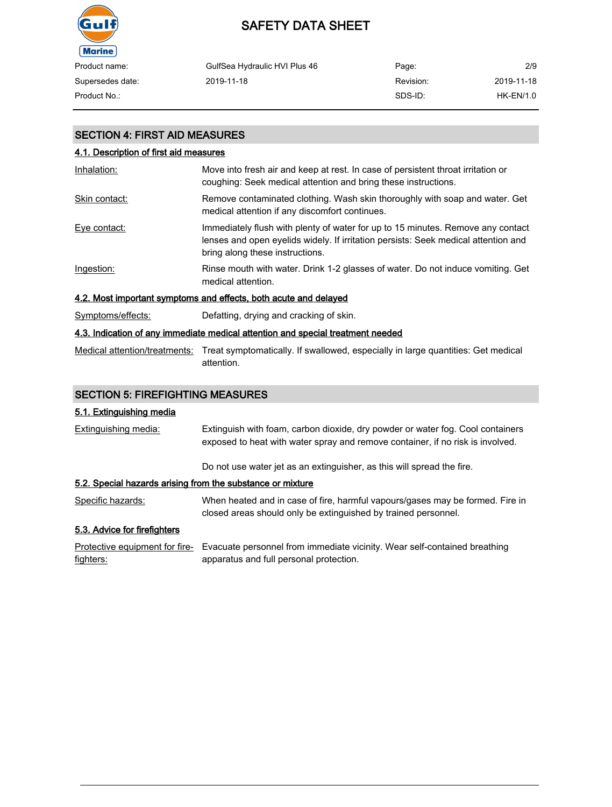

| Product name:    | GulfSea Hydraulic HVI Plus 46 | Page:     | 2/9        |
|------------------|-------------------------------|-----------|------------|
| Supersedes date: | 2019-11-18                    | Revision: | 2019-11-18 |
| Product No.:     |                               | SDS-ID:   | HK-EN/1.0  |

### SECTION 4: FIRST AID MEASURES

| 4.1. Description of first aid measures                                          |                                                                                                                                                                                                          |  |  |
|---------------------------------------------------------------------------------|----------------------------------------------------------------------------------------------------------------------------------------------------------------------------------------------------------|--|--|
| Inhalation:                                                                     | Move into fresh air and keep at rest. In case of persistent throat irritation or<br>coughing: Seek medical attention and bring these instructions.                                                       |  |  |
| Skin contact:                                                                   | Remove contaminated clothing. Wash skin thoroughly with soap and water. Get<br>medical attention if any discomfort continues.                                                                            |  |  |
| Eye contact:                                                                    | Immediately flush with plenty of water for up to 15 minutes. Remove any contact<br>lenses and open evelids widely. If irritation persists: Seek medical attention and<br>bring along these instructions. |  |  |
| Ingestion:                                                                      | Rinse mouth with water. Drink 1-2 glasses of water. Do not induce vomiting. Get<br>medical attention.                                                                                                    |  |  |
| 4.2. Most important symptoms and effects, both acute and delayed                |                                                                                                                                                                                                          |  |  |
| Symptoms/effects:                                                               | Defatting, drying and cracking of skin.                                                                                                                                                                  |  |  |
| 4.3. Indication of any immediate medical attention and special treatment needed |                                                                                                                                                                                                          |  |  |

Medical attention/treatments: Treat symptomatically. If swallowed, especially in large quantities: Get medical attention.

### SECTION 5: FIREFIGHTING MEASURES

### 5.1. Extinguishing media

| Extinguishing media:                                       | Extinguish with foam, carbon dioxide, dry powder or water fog. Cool containers<br>exposed to heat with water spray and remove container, if no risk is involved. |
|------------------------------------------------------------|------------------------------------------------------------------------------------------------------------------------------------------------------------------|
|                                                            | Do not use water jet as an extinguisher, as this will spread the fire.                                                                                           |
| 5.2. Special hazards arising from the substance or mixture |                                                                                                                                                                  |
| Specific hazards:                                          | When heated and in case of fire, harmful vapours/gases may be formed. Fire in<br>closed areas should only be extinguished by trained personnel.                  |
| 5.3. Advice for firefighters                               |                                                                                                                                                                  |
| Protective equipment for fire-<br>fighters:                | Evacuate personnel from immediate vicinity. Wear self-contained breathing<br>apparatus and full personal protection.                                             |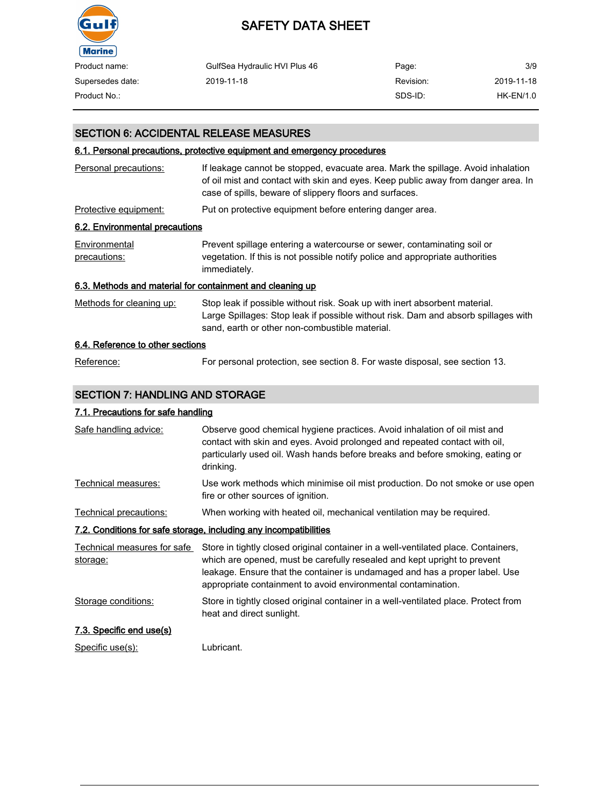

| Product name:    | GulfSea Hydraulic HVI Plus 46 | Page:     | 3/9        |
|------------------|-------------------------------|-----------|------------|
| Supersedes date: | 2019-11-18                    | Revision: | 2019-11-18 |
| Product No.:     |                               | SDS-ID:   | HK-EN/1.0  |

### SECTION 6: ACCIDENTAL RELEASE MEASURES

#### 6.1. Personal precautions, protective equipment and emergency procedures

| Personal precautions:            | If leakage cannot be stopped, evacuate area. Mark the spillage. Avoid inhalation<br>of oil mist and contact with skin and eyes. Keep public away from danger area. In<br>case of spills, beware of slippery floors and surfaces. |
|----------------------------------|----------------------------------------------------------------------------------------------------------------------------------------------------------------------------------------------------------------------------------|
| Protective equipment:            | Put on protective equipment before entering danger area.                                                                                                                                                                         |
| 6.2. Environmental precautions   |                                                                                                                                                                                                                                  |
| Environmental<br>precautions:    | Prevent spillage entering a watercourse or sewer, contaminating soil or<br>vegetation. If this is not possible notify police and appropriate authorities<br>immediately.                                                         |
|                                  | 6.3. Methods and material for containment and cleaning up                                                                                                                                                                        |
| Methods for cleaning up:         | Stop leak if possible without risk. Soak up with inert absorbent material.<br>Large Spillages: Stop leak if possible without risk. Dam and absorb spillages with<br>sand, earth or other non-combustible material.               |
| 6.4. Reference to other sections |                                                                                                                                                                                                                                  |
| Reference:                       | For personal protection, see section 8. For waste disposal, see section 13.                                                                                                                                                      |

### SECTION 7: HANDLING AND STORAGE

### 7.1. Precautions for safe handling

| Safe handling advice:                   | Observe good chemical hygiene practices. Avoid inhalation of oil mist and<br>contact with skin and eyes. Avoid prolonged and repeated contact with oil,<br>particularly used oil. Wash hands before breaks and before smoking, eating or<br>drinking.                                                          |
|-----------------------------------------|----------------------------------------------------------------------------------------------------------------------------------------------------------------------------------------------------------------------------------------------------------------------------------------------------------------|
| Technical measures:                     | Use work methods which minimise oil mist production. Do not smoke or use open<br>fire or other sources of ignition.                                                                                                                                                                                            |
| Technical precautions:                  | When working with heated oil, mechanical ventilation may be required.                                                                                                                                                                                                                                          |
|                                         | 7.2. Conditions for safe storage, including any incompatibilities                                                                                                                                                                                                                                              |
| Technical measures for safe<br>storage: | Store in tightly closed original container in a well-ventilated place. Containers,<br>which are opened, must be carefully resealed and kept upright to prevent<br>leakage. Ensure that the container is undamaged and has a proper label. Use<br>appropriate containment to avoid environmental contamination. |
| Storage conditions:                     | Store in tightly closed original container in a well-ventilated place. Protect from<br>heat and direct sunlight.                                                                                                                                                                                               |
| 7.3. Specific end use(s)                |                                                                                                                                                                                                                                                                                                                |
| Specific use(s):                        | Lubricant.                                                                                                                                                                                                                                                                                                     |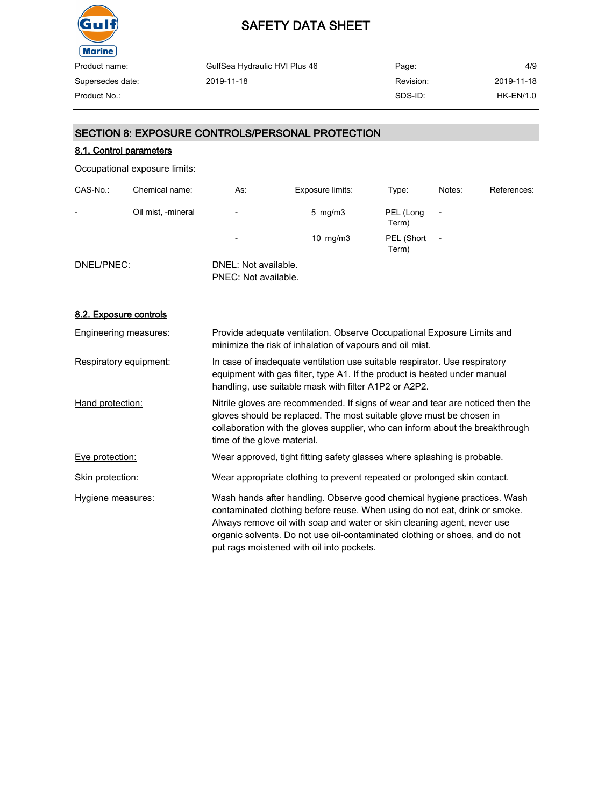

| GulfSea Hydraulic HVI Plus 46 | Page:     | 4/9              |
|-------------------------------|-----------|------------------|
| 2019-11-18                    | Revision: | 2019-11-18       |
|                               | SDS-ID:   | <b>HK-EN/1.0</b> |
|                               |           |                  |

## SECTION 8: EXPOSURE CONTROLS/PERSONAL PROTECTION

### 8.1. Control parameters

Occupational exposure limits:

| CAS-No.:   | Chemical name:     | <u>As:</u>                                   | <b>Exposure limits:</b> | Type:               | Notes:         | References: |
|------------|--------------------|----------------------------------------------|-------------------------|---------------------|----------------|-------------|
| -          | Oil mist, -mineral | $\overline{\phantom{0}}$                     | $5 \,$ mg/m $3 \,$      | PEL (Long<br>Term)  |                |             |
|            |                    | $\overline{\phantom{0}}$                     | $10 \text{ mg/m}$ 3     | PEL (Short<br>Term) | $\overline{a}$ |             |
| DNEL/PNEC: |                    | DNEL: Not available.<br>PNEC: Not available. |                         |                     |                |             |

#### 8.2. Exposure controls

| <b>Engineering measures:</b> | Provide adequate ventilation. Observe Occupational Exposure Limits and<br>minimize the risk of inhalation of vapours and oil mist.                                                                                                                                                                                                                            |
|------------------------------|---------------------------------------------------------------------------------------------------------------------------------------------------------------------------------------------------------------------------------------------------------------------------------------------------------------------------------------------------------------|
| Respiratory equipment:       | In case of inadequate ventilation use suitable respirator. Use respiratory<br>equipment with gas filter, type A1. If the product is heated under manual<br>handling, use suitable mask with filter A1P2 or A2P2.                                                                                                                                              |
| Hand protection:             | Nitrile gloves are recommended. If signs of wear and tear are noticed then the<br>gloves should be replaced. The most suitable glove must be chosen in<br>collaboration with the gloves supplier, who can inform about the breakthrough<br>time of the glove material.                                                                                        |
| Eye protection:              | Wear approved, tight fitting safety glasses where splashing is probable.                                                                                                                                                                                                                                                                                      |
| Skin protection:             | Wear appropriate clothing to prevent repeated or prolonged skin contact.                                                                                                                                                                                                                                                                                      |
| Hygiene measures:            | Wash hands after handling. Observe good chemical hygiene practices. Wash<br>contaminated clothing before reuse. When using do not eat, drink or smoke.<br>Always remove oil with soap and water or skin cleaning agent, never use<br>organic solvents. Do not use oil-contaminated clothing or shoes, and do not<br>put rags moistened with oil into pockets. |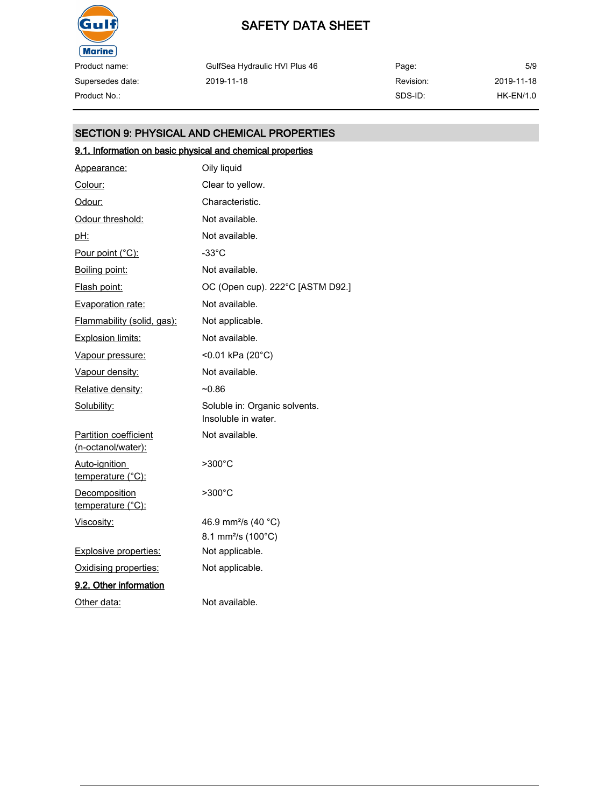

Supersedes date:

## SAFETY DATA SHEET

GulfSea Hydraulic HVI Plus 46 2019-11-18

Page: Revision: SDS-ID: 5/9 2019-11-18 Product No.: HK-EN/1.0

### SECTION 9: PHYSICAL AND CHEMICAL PROPERTIES

## 9.1. Information on basic physical and chemical properties

| Appearance:                                 | Oily liquid                                          |
|---------------------------------------------|------------------------------------------------------|
| Colour:                                     | Clear to yellow.                                     |
| <u>Odour:</u>                               | Characteristic.                                      |
| Odour threshold:                            | Not available.                                       |
| <u>pH:</u>                                  | Not available.                                       |
| Pour point (°C):                            | $-33^{\circ}$ C                                      |
| Boiling point:                              | Not available.                                       |
| Flash point:                                | OC (Open cup). 222°C [ASTM D92.]                     |
| <b>Evaporation rate:</b>                    | Not available.                                       |
| Flammability (solid, gas):                  | Not applicable.                                      |
| <b>Explosion limits:</b>                    | Not available.                                       |
| Vapour pressure:                            | <0.01 kPa (20°C)                                     |
| Vapour density:                             | Not available.                                       |
| Relative density:                           | $-0.86$                                              |
| Solubility:                                 | Soluble in: Organic solvents.<br>Insoluble in water. |
| Partition coefficient<br>(n-octanol/water): | Not available.                                       |
| Auto-ignition<br><u>temperature (°C):</u>   | $>300^{\circ}$ C                                     |
| Decomposition<br>temperature (°C):          | >300°C                                               |
| <u>Viscosity:</u>                           | 46.9 mm <sup>2</sup> /s (40 °C)                      |
|                                             | 8.1 mm <sup>2</sup> /s (100°C)                       |
| <b>Explosive properties:</b>                | Not applicable.                                      |
| Oxidising properties:                       | Not applicable.                                      |
| 9.2. Other information                      |                                                      |
| Other data:                                 | Not available.                                       |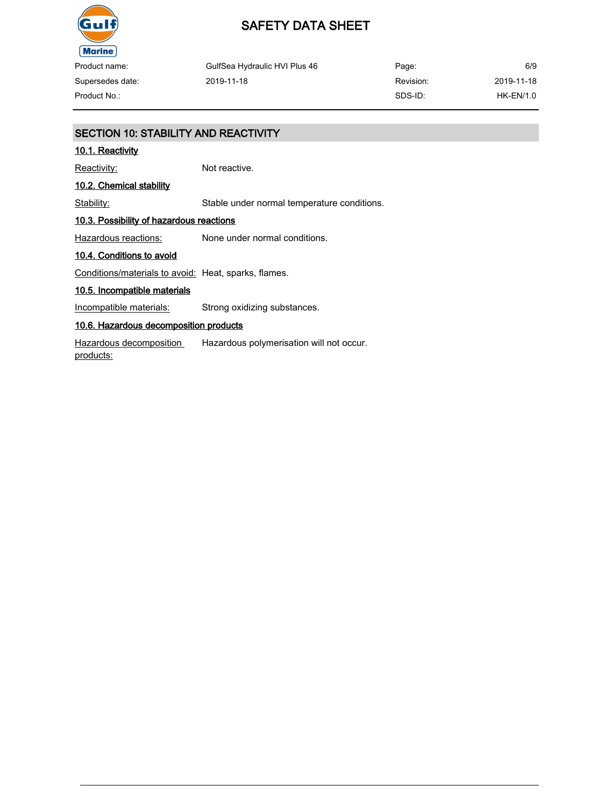

## SAFETY DATA SHEET

| Product name:    | GulfSea Hydraulic HVI Plus 46 | Page:     | 6/9         |
|------------------|-------------------------------|-----------|-------------|
| Supersedes date: | 2019-11-18                    | Revision: | 2019-11-18  |
| Product No.:-    |                               | SDS-ID:   | $HK-EN/1.0$ |

## SECTION 10: STABILITY AND REACTIVITY 10.1. Reactivity Reactivity: Not reactive. 10.2. Chemical stability Stability: Stable under normal temperature conditions. 10.3. Possibility of hazardous reactions Hazardous reactions: None under normal conditions. 10.4. Conditions to avoid Conditions/materials to avoid: Heat, sparks, flames. 10.5. Incompatible materials Incompatible materials: Strong oxidizing substances. 10.6. Hazardous decomposition products Hazardous decomposition products: Hazardous polymerisation will not occur.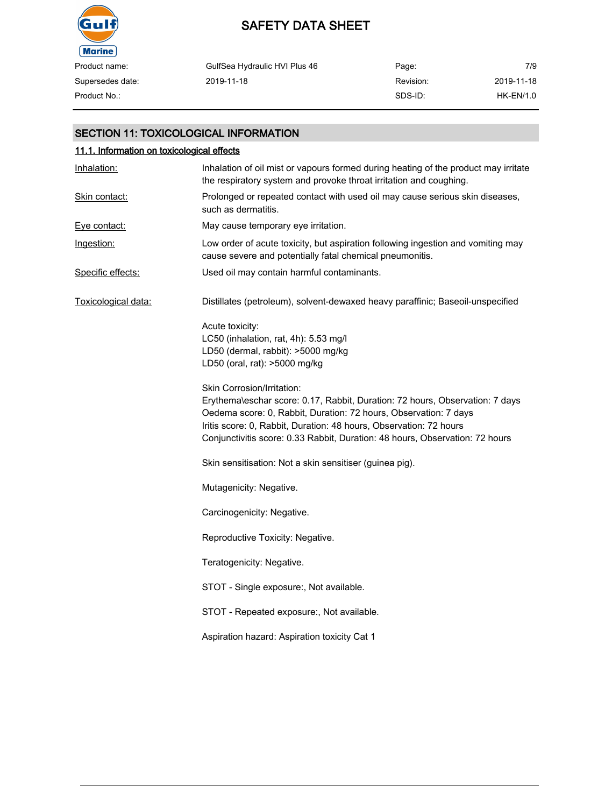

| Product name:    | GulfSea Hydraulic HVI Plus 46 | Page:     | 7/9        |
|------------------|-------------------------------|-----------|------------|
| Supersedes date: | 2019-11-18                    | Revision: | 2019-11-18 |
| Product No.:     |                               | SDS-ID:   | HK-EN/1.0  |

### SECTION 11: TOXICOLOGICAL INFORMATION

| 11.1. Information on toxicological effects |                                                                                                                                                                                                                                                                                                                                      |  |  |
|--------------------------------------------|--------------------------------------------------------------------------------------------------------------------------------------------------------------------------------------------------------------------------------------------------------------------------------------------------------------------------------------|--|--|
| Inhalation:                                | Inhalation of oil mist or vapours formed during heating of the product may irritate<br>the respiratory system and provoke throat irritation and coughing.                                                                                                                                                                            |  |  |
| Skin contact:                              | Prolonged or repeated contact with used oil may cause serious skin diseases,<br>such as dermatitis.                                                                                                                                                                                                                                  |  |  |
| Eye contact:                               | May cause temporary eye irritation.                                                                                                                                                                                                                                                                                                  |  |  |
| Ingestion:                                 | Low order of acute toxicity, but aspiration following ingestion and vomiting may<br>cause severe and potentially fatal chemical pneumonitis.                                                                                                                                                                                         |  |  |
| Specific effects:                          | Used oil may contain harmful contaminants.                                                                                                                                                                                                                                                                                           |  |  |
| Toxicological data:                        | Distillates (petroleum), solvent-dewaxed heavy paraffinic; Baseoil-unspecified                                                                                                                                                                                                                                                       |  |  |
|                                            | Acute toxicity:<br>LC50 (inhalation, rat, 4h): 5.53 mg/l<br>LD50 (dermal, rabbit): >5000 mg/kg<br>LD50 (oral, rat): >5000 mg/kg                                                                                                                                                                                                      |  |  |
|                                            | Skin Corrosion/Irritation:<br>Erythema\eschar score: 0.17, Rabbit, Duration: 72 hours, Observation: 7 days<br>Oedema score: 0, Rabbit, Duration: 72 hours, Observation: 7 days<br>Iritis score: 0, Rabbit, Duration: 48 hours, Observation: 72 hours<br>Conjunctivitis score: 0.33 Rabbit, Duration: 48 hours, Observation: 72 hours |  |  |
|                                            | Skin sensitisation: Not a skin sensitiser (guinea pig).                                                                                                                                                                                                                                                                              |  |  |
|                                            | Mutagenicity: Negative.                                                                                                                                                                                                                                                                                                              |  |  |
|                                            | Carcinogenicity: Negative.                                                                                                                                                                                                                                                                                                           |  |  |
|                                            | Reproductive Toxicity: Negative.                                                                                                                                                                                                                                                                                                     |  |  |
|                                            | Teratogenicity: Negative.                                                                                                                                                                                                                                                                                                            |  |  |
|                                            | STOT - Single exposure:, Not available.                                                                                                                                                                                                                                                                                              |  |  |
|                                            | STOT - Repeated exposure:, Not available.                                                                                                                                                                                                                                                                                            |  |  |
|                                            | Aspiration hazard: Aspiration toxicity Cat 1                                                                                                                                                                                                                                                                                         |  |  |
|                                            |                                                                                                                                                                                                                                                                                                                                      |  |  |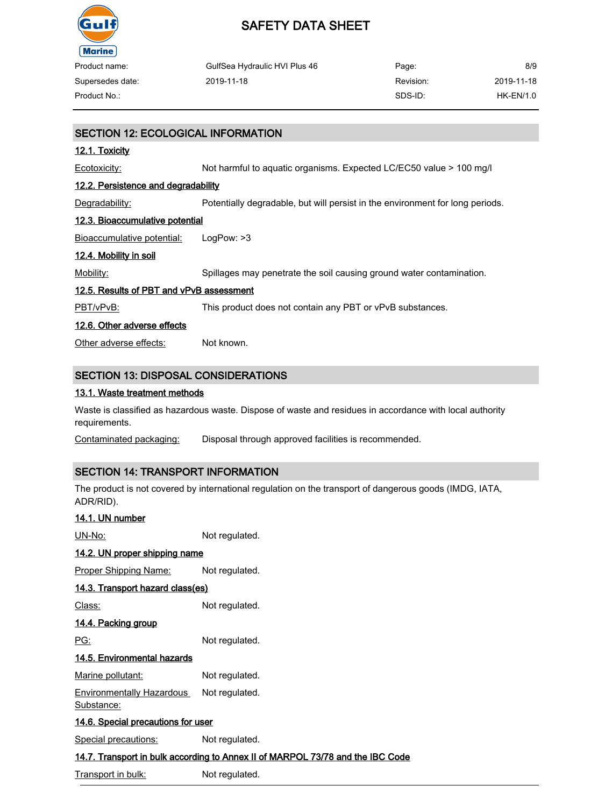

| Product name:    | GulfSea Hydraulic HVI Plus 46 | Page:     | 8/9        |
|------------------|-------------------------------|-----------|------------|
| Supersedes date: | 2019-11-18                    | Revision: | 2019-11-18 |
| Product No.:     |                               | SDS-ID:   | HK-EN/1.0  |

## SECTION 12: ECOLOGICAL INFORMATION 12.1. Toxicity Ecotoxicity: Not harmful to aquatic organisms. Expected LC/EC50 value > 100 mg/l 12.2. Persistence and degradability Degradability: Potentially degradable, but will persist in the environment for long periods. 12.3. Bioaccumulative potential Bioaccumulative potential: LogPow: >3 12.4. Mobility in soil Mobility: Spillages may penetrate the soil causing ground water contamination. 12.5. Results of PBT and vPvB assessment PBT/vPvB: This product does not contain any PBT or vPvB substances. 12.6. Other adverse effects Other adverse effects: Not known. SECTION 13: DISPOSAL CONSIDERATIONS

#### 13.1. Waste treatment methods

Waste is classified as hazardous waste. Dispose of waste and residues in accordance with local authority requirements.

Contaminated packaging: Disposal through approved facilities is recommended.

### SECTION 14: TRANSPORT INFORMATION

The product is not covered by international regulation on the transport of dangerous goods (IMDG, IATA, ADR/RID).

| 14.1. UN number                                |                                                                                |  |
|------------------------------------------------|--------------------------------------------------------------------------------|--|
| UN-No:                                         | Not regulated.                                                                 |  |
| <u>14.2. UN proper shipping name</u>           |                                                                                |  |
| <u>Proper Shipping Name:</u>                   | Not regulated.                                                                 |  |
| 14.3. Transport hazard class(es)               |                                                                                |  |
| Class:                                         | Not regulated.                                                                 |  |
| <u>14.4. Packing group</u>                     |                                                                                |  |
| PG:                                            | Not regulated.                                                                 |  |
| 14.5. Environmental hazards                    |                                                                                |  |
| <b>Marine pollutant:</b>                       | Not regulated.                                                                 |  |
| <b>Environmentally Hazardous</b><br>Substance: | Not regulated.                                                                 |  |
| <u>14.6. Special precautions for user</u>      |                                                                                |  |
| <b>Special precautions:</b>                    | Not regulated.                                                                 |  |
|                                                | 14.7. Transport in bulk according to Annex II of MARPOL 73/78 and the IBC Code |  |

Transport in bulk: Not regulated.